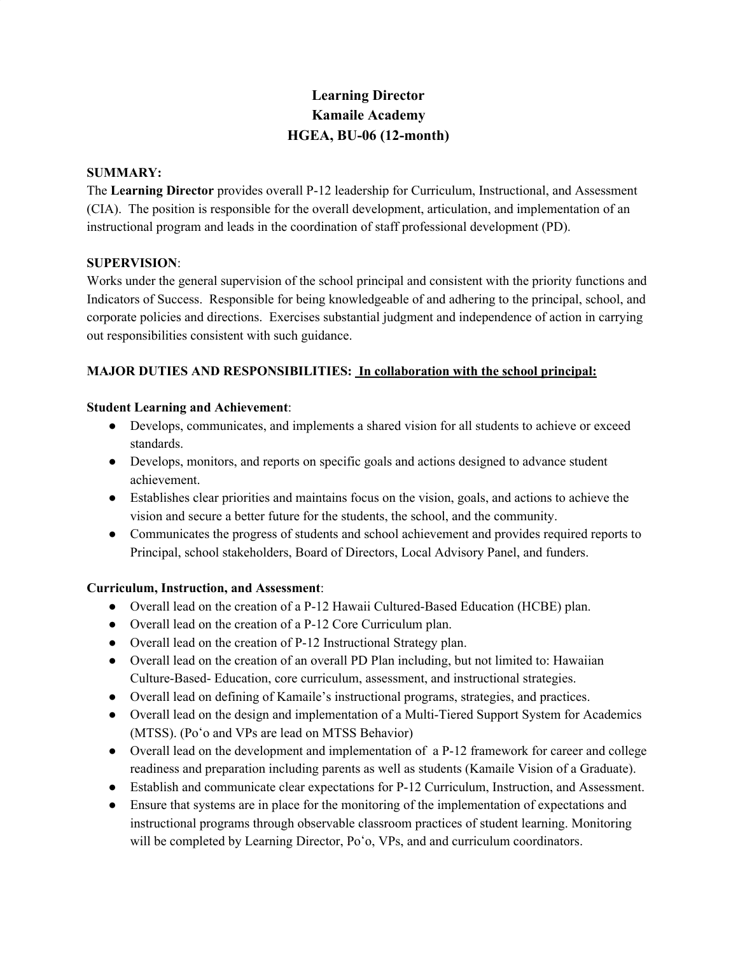# **Learning Director Kamaile Academy HGEA, BU-06 (12-month)**

#### **SUMMARY:**

The **Learning Director** provides overall P-12 leadership for Curriculum, Instructional, and Assessment (CIA). The position is responsible for the overall development, articulation, and implementation of an instructional program and leads in the coordination of staff professional development (PD).

### **SUPERVISION**:

Works under the general supervision of the school principal and consistent with the priority functions and Indicators of Success. Responsible for being knowledgeable of and adhering to the principal, school, and corporate policies and directions. Exercises substantial judgment and independence of action in carrying out responsibilities consistent with such guidance.

# **MAJOR DUTIES AND RESPONSIBILITIES: In collaboration with the school principal:**

# **Student Learning and Achievement**:

- Develops, communicates, and implements a shared vision for all students to achieve or exceed standards.
- Develops, monitors, and reports on specific goals and actions designed to advance student achievement.
- Establishes clear priorities and maintains focus on the vision, goals, and actions to achieve the vision and secure a better future for the students, the school, and the community.
- Communicates the progress of students and school achievement and provides required reports to Principal, school stakeholders, Board of Directors, Local Advisory Panel, and funders.

# **Curriculum, Instruction, and Assessment**:

- Overall lead on the creation of a P-12 Hawaii Cultured-Based Education (HCBE) plan.
- Overall lead on the creation of a P-12 Core Curriculum plan.
- Overall lead on the creation of P-12 Instructional Strategy plan.
- Overall lead on the creation of an overall PD Plan including, but not limited to: Hawaiian Culture-Based- Education, core curriculum, assessment, and instructional strategies.
- Overall lead on defining of Kamaile's instructional programs, strategies, and practices.
- Overall lead on the design and implementation of a Multi-Tiered Support System for Academics (MTSS). (Poʻo and VPs are lead on MTSS Behavior)
- Overall lead on the development and implementation of a P-12 framework for career and college readiness and preparation including parents as well as students (Kamaile Vision of a Graduate).
- Establish and communicate clear expectations for P-12 Curriculum, Instruction, and Assessment.
- Ensure that systems are in place for the monitoring of the implementation of expectations and instructional programs through observable classroom practices of student learning. Monitoring will be completed by Learning Director, Po'o, VPs, and and curriculum coordinators.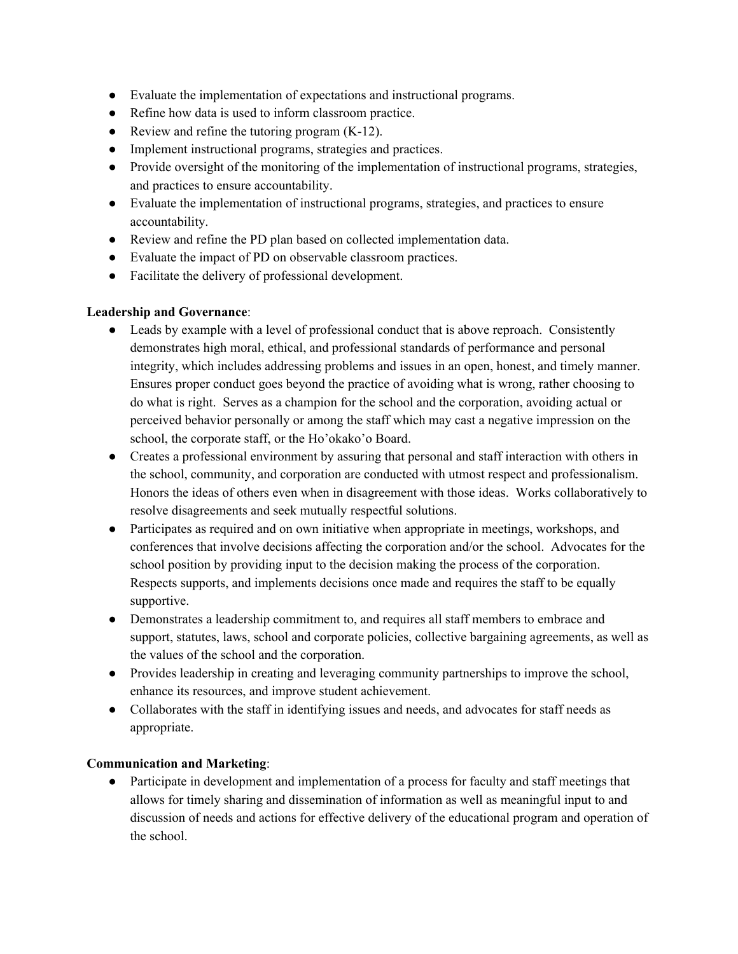- Evaluate the implementation of expectations and instructional programs.
- Refine how data is used to inform classroom practice.
- Review and refine the tutoring program (K-12).
- Implement instructional programs, strategies and practices.
- Provide oversight of the monitoring of the implementation of instructional programs, strategies, and practices to ensure accountability.
- Evaluate the implementation of instructional programs, strategies, and practices to ensure accountability.
- Review and refine the PD plan based on collected implementation data.
- Evaluate the impact of PD on observable classroom practices.
- Facilitate the delivery of professional development.

# **Leadership and Governance**:

- Leads by example with a level of professional conduct that is above reproach. Consistently demonstrates high moral, ethical, and professional standards of performance and personal integrity, which includes addressing problems and issues in an open, honest, and timely manner. Ensures proper conduct goes beyond the practice of avoiding what is wrong, rather choosing to do what is right. Serves as a champion for the school and the corporation, avoiding actual or perceived behavior personally or among the staff which may cast a negative impression on the school, the corporate staff, or the Ho'okako'o Board.
- Creates a professional environment by assuring that personal and staff interaction with others in the school, community, and corporation are conducted with utmost respect and professionalism. Honors the ideas of others even when in disagreement with those ideas. Works collaboratively to resolve disagreements and seek mutually respectful solutions.
- Participates as required and on own initiative when appropriate in meetings, workshops, and conferences that involve decisions affecting the corporation and/or the school. Advocates for the school position by providing input to the decision making the process of the corporation. Respects supports, and implements decisions once made and requires the staff to be equally supportive.
- Demonstrates a leadership commitment to, and requires all staff members to embrace and support, statutes, laws, school and corporate policies, collective bargaining agreements, as well as the values of the school and the corporation.
- Provides leadership in creating and leveraging community partnerships to improve the school, enhance its resources, and improve student achievement.
- Collaborates with the staff in identifying issues and needs, and advocates for staff needs as appropriate.

# **Communication and Marketing**:

● Participate in development and implementation of a process for faculty and staff meetings that allows for timely sharing and dissemination of information as well as meaningful input to and discussion of needs and actions for effective delivery of the educational program and operation of the school.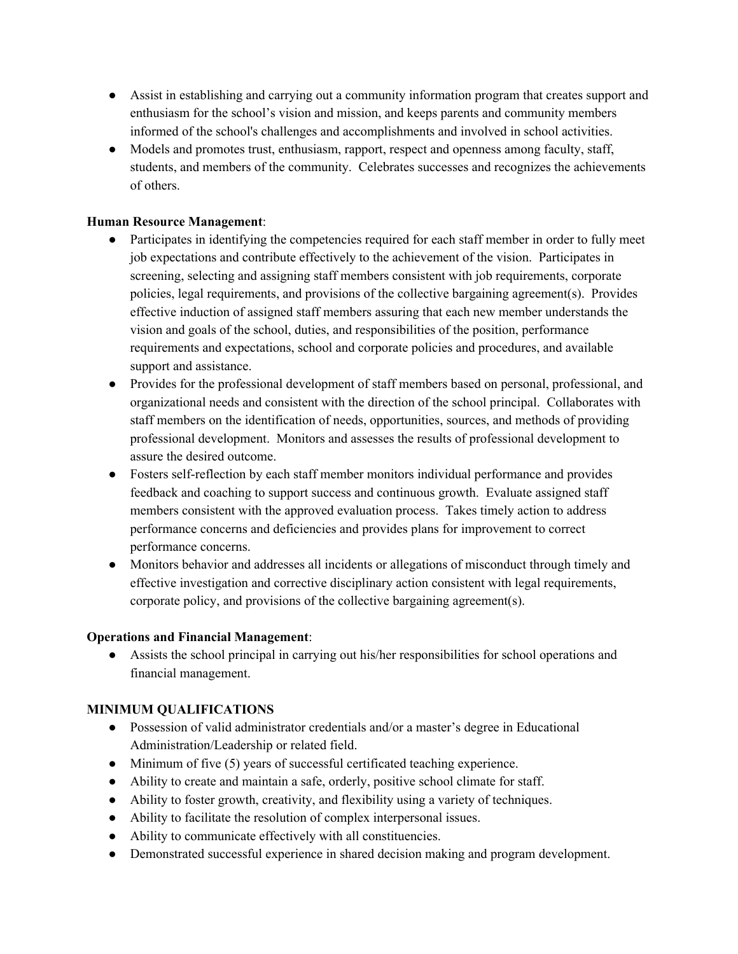- Assist in establishing and carrying out a community information program that creates support and enthusiasm for the school's vision and mission, and keeps parents and community members informed of the school's challenges and accomplishments and involved in school activities.
- Models and promotes trust, enthusiasm, rapport, respect and openness among faculty, staff, students, and members of the community. Celebrates successes and recognizes the achievements of others.

# **Human Resource Management**:

- Participates in identifying the competencies required for each staff member in order to fully meet job expectations and contribute effectively to the achievement of the vision. Participates in screening, selecting and assigning staff members consistent with job requirements, corporate policies, legal requirements, and provisions of the collective bargaining agreement(s). Provides effective induction of assigned staff members assuring that each new member understands the vision and goals of the school, duties, and responsibilities of the position, performance requirements and expectations, school and corporate policies and procedures, and available support and assistance.
- Provides for the professional development of staff members based on personal, professional, and organizational needs and consistent with the direction of the school principal. Collaborates with staff members on the identification of needs, opportunities, sources, and methods of providing professional development. Monitors and assesses the results of professional development to assure the desired outcome.
- Fosters self-reflection by each staff member monitors individual performance and provides feedback and coaching to support success and continuous growth. Evaluate assigned staff members consistent with the approved evaluation process. Takes timely action to address performance concerns and deficiencies and provides plans for improvement to correct performance concerns.
- Monitors behavior and addresses all incidents or allegations of misconduct through timely and effective investigation and corrective disciplinary action consistent with legal requirements, corporate policy, and provisions of the collective bargaining agreement(s).

#### **Operations and Financial Management**:

● Assists the school principal in carrying out his/her responsibilities for school operations and financial management.

# **MINIMUM QUALIFICATIONS**

- Possession of valid administrator credentials and/or a master's degree in Educational Administration/Leadership or related field.
- Minimum of five (5) years of successful certificated teaching experience.
- Ability to create and maintain a safe, orderly, positive school climate for staff.
- Ability to foster growth, creativity, and flexibility using a variety of techniques.
- Ability to facilitate the resolution of complex interpersonal issues.
- Ability to communicate effectively with all constituencies.
- Demonstrated successful experience in shared decision making and program development.